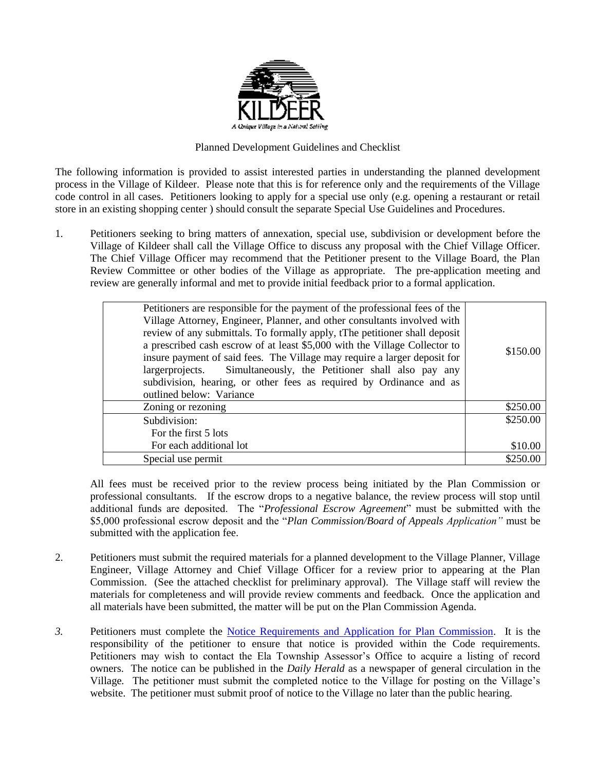

## Planned Development Guidelines and Checklist

The following information is provided to assist interested parties in understanding the planned development process in the Village of Kildeer. Please note that this is for reference only and the requirements of the Village code control in all cases. Petitioners looking to apply for a special use only (e.g. opening a restaurant or retail store in an existing shopping center ) should consult the separate Special Use Guidelines and Procedures.

1. Petitioners seeking to bring matters of annexation, special use, subdivision or development before the Village of Kildeer shall call the Village Office to discuss any proposal with the Chief Village Officer. The Chief Village Officer may recommend that the Petitioner present to the Village Board, the Plan Review Committee or other bodies of the Village as appropriate. The pre-application meeting and review are generally informal and met to provide initial feedback prior to a formal application.

| Petitioners are responsible for the payment of the professional fees of the<br>Village Attorney, Engineer, Planner, and other consultants involved with<br>review of any submittals. To formally apply, tThe petitioner shall deposit<br>a prescribed cash escrow of at least \$5,000 with the Village Collector to<br>insure payment of said fees. The Village may require a larger deposit for<br>largerprojects. Simultaneously, the Petitioner shall also pay any<br>subdivision, hearing, or other fees as required by Ordinance and as<br>outlined below: Variance | \$150.00 |
|--------------------------------------------------------------------------------------------------------------------------------------------------------------------------------------------------------------------------------------------------------------------------------------------------------------------------------------------------------------------------------------------------------------------------------------------------------------------------------------------------------------------------------------------------------------------------|----------|
| Zoning or rezoning                                                                                                                                                                                                                                                                                                                                                                                                                                                                                                                                                       | \$250.00 |
| Subdivision:                                                                                                                                                                                                                                                                                                                                                                                                                                                                                                                                                             | \$250.00 |
| For the first 5 lots                                                                                                                                                                                                                                                                                                                                                                                                                                                                                                                                                     |          |
| For each additional lot                                                                                                                                                                                                                                                                                                                                                                                                                                                                                                                                                  | \$10.00  |
| Special use permit                                                                                                                                                                                                                                                                                                                                                                                                                                                                                                                                                       | \$250.00 |
|                                                                                                                                                                                                                                                                                                                                                                                                                                                                                                                                                                          |          |

All fees must be received prior to the review process being initiated by the Plan Commission or professional consultants. If the escrow drops to a negative balance, the review process will stop until additional funds are deposited. The "*Professional Escrow Agreement*" must be submitted with the \$5,000 professional escrow deposit and the "*Plan Commission/Board of Appeals Application"* must be submitted with the application fee.

- 2. Petitioners must submit the required materials for a planned development to the Village Planner, Village Engineer, Village Attorney and Chief Village Officer for a review prior to appearing at the Plan Commission. (See the attached checklist for preliminary approval). The Village staff will review the materials for completeness and will provide review comments and feedback. Once the application and all materials have been submitted, the matter will be put on the Plan Commission Agenda.
- *3.* Petitioners must complete the [Notice Requirements and Application for Plan Commission.](http://villageofkildeer.com/wp-content/uploads/15-7-2-General-Plan-Commission-Application-Notice.pdf) It is the responsibility of the petitioner to ensure that notice is provided within the Code requirements. Petitioners may wish to contact the Ela Township Assessor's Office to acquire a listing of record owners. The notice can be published in the *Daily Herald* as a newspaper of general circulation in the Village*.* The petitioner must submit the completed notice to the Village for posting on the Village's website. The petitioner must submit proof of notice to the Village no later than the public hearing.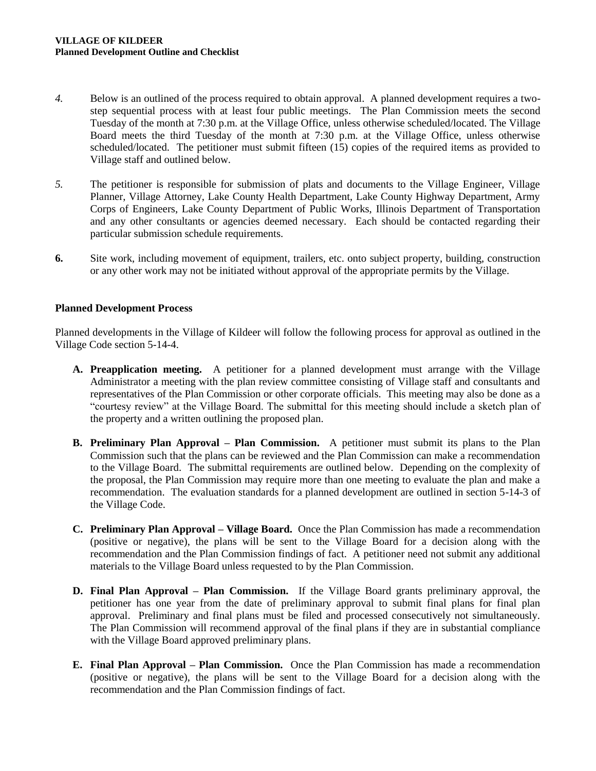- *4.* Below is an outlined of the process required to obtain approval. A planned development requires a twostep sequential process with at least four public meetings. The Plan Commission meets the second Tuesday of the month at 7:30 p.m. at the Village Office, unless otherwise scheduled/located. The Village Board meets the third Tuesday of the month at 7:30 p.m. at the Village Office, unless otherwise scheduled/located. The petitioner must submit fifteen (15) copies of the required items as provided to Village staff and outlined below.
- *5.* The petitioner is responsible for submission of plats and documents to the Village Engineer, Village Planner, Village Attorney, Lake County Health Department, Lake County Highway Department, Army Corps of Engineers, Lake County Department of Public Works, Illinois Department of Transportation and any other consultants or agencies deemed necessary. Each should be contacted regarding their particular submission schedule requirements.
- **6.** Site work, including movement of equipment, trailers, etc. onto subject property, building, construction or any other work may not be initiated without approval of the appropriate permits by the Village.

## **Planned Development Process**

Planned developments in the Village of Kildeer will follow the following process for approval as outlined in the Village Code section 5-14-4.

- **A. Preapplication meeting.** A petitioner for a planned development must arrange with the Village Administrator a meeting with the plan review committee consisting of Village staff and consultants and representatives of the Plan Commission or other corporate officials. This meeting may also be done as a "courtesy review" at the Village Board. The submittal for this meeting should include a sketch plan of the property and a written outlining the proposed plan.
- **B. Preliminary Plan Approval – Plan Commission.** A petitioner must submit its plans to the Plan Commission such that the plans can be reviewed and the Plan Commission can make a recommendation to the Village Board. The submittal requirements are outlined below. Depending on the complexity of the proposal, the Plan Commission may require more than one meeting to evaluate the plan and make a recommendation. The evaluation standards for a planned development are outlined in section 5-14-3 of the Village Code.
- **C. Preliminary Plan Approval – Village Board.** Once the Plan Commission has made a recommendation (positive or negative), the plans will be sent to the Village Board for a decision along with the recommendation and the Plan Commission findings of fact. A petitioner need not submit any additional materials to the Village Board unless requested to by the Plan Commission.
- **D. Final Plan Approval – Plan Commission.** If the Village Board grants preliminary approval, the petitioner has one year from the date of preliminary approval to submit final plans for final plan approval. Preliminary and final plans must be filed and processed consecutively not simultaneously. The Plan Commission will recommend approval of the final plans if they are in substantial compliance with the Village Board approved preliminary plans.
- **E. Final Plan Approval – Plan Commission.** Once the Plan Commission has made a recommendation (positive or negative), the plans will be sent to the Village Board for a decision along with the recommendation and the Plan Commission findings of fact.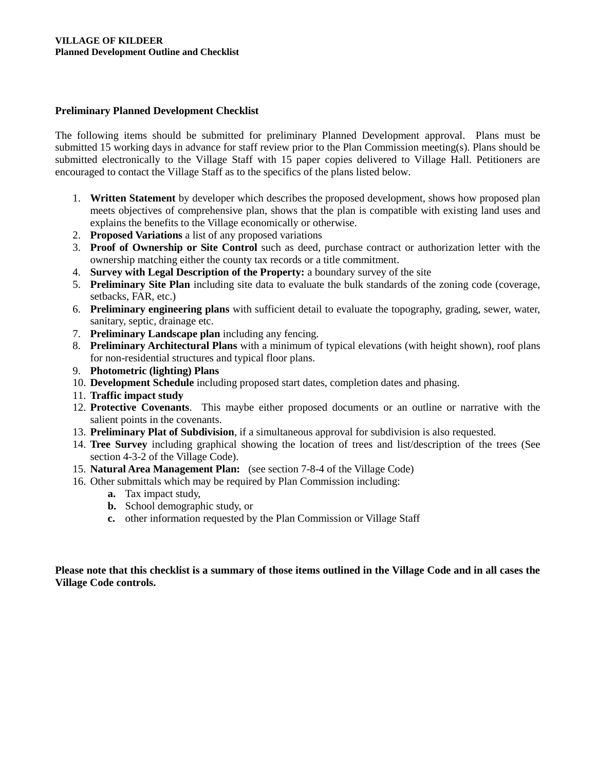# **Preliminary Planned Development Checklist**

The following items should be submitted for preliminary Planned Development approval. Plans must be submitted 15 working days in advance for staff review prior to the Plan Commission meeting(s). Plans should be submitted electronically to the Village Staff with 15 paper copies delivered to Village Hall. Petitioners are encouraged to contact the Village Staff as to the specifics of the plans listed below.

- 1. **Written Statement** by developer which describes the proposed development, shows how proposed plan meets objectives of comprehensive plan, shows that the plan is compatible with existing land uses and explains the benefits to the Village economically or otherwise.
- 2. **Proposed Variations** a list of any proposed variations
- 3. **Proof of Ownership or Site Control** such as deed, purchase contract or authorization letter with the ownership matching either the county tax records or a title commitment.
- 4. **Survey with Legal Description of the Property:** a boundary survey of the site
- 5. **Preliminary Site Plan** including site data to evaluate the bulk standards of the zoning code (coverage, setbacks, FAR, etc.)
- 6. **Preliminary engineering plans** with sufficient detail to evaluate the topography, grading, sewer, water, sanitary, septic, drainage etc.
- 7. **Preliminary Landscape plan** including any fencing.
- 8. **Preliminary Architectural Plans** with a minimum of typical elevations (with height shown), roof plans for non-residential structures and typical floor plans.
- 9. **Photometric (lighting) Plans**
- 10. **Development Schedule** including proposed start dates, completion dates and phasing.
- 11. **Traffic impact study**
- 12. **Protective Covenants**. This maybe either proposed documents or an outline or narrative with the salient points in the covenants.
- 13. **Preliminary Plat of Subdivision**, if a simultaneous approval for subdivision is also requested.
- 14. **Tree Survey** including graphical showing the location of trees and list/description of the trees (See section 4-3-2 of the Village Code).
- 15. **Natural Area Management Plan:** (see section 7-8-4 of the Village Code)
- 16. Other submittals which may be required by Plan Commission including:
	- **a.** Tax impact study,
	- **b.** School demographic study, or
	- **c.** other information requested by the Plan Commission or Village Staff

**Please note that this checklist is a summary of those items outlined in the Village Code and in all cases the Village Code controls.**